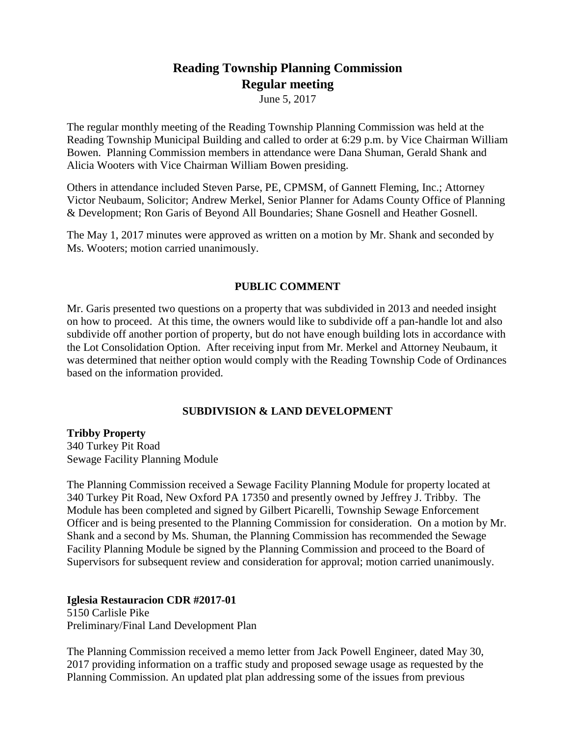# **Reading Township Planning Commission Regular meeting**

June 5, 2017

The regular monthly meeting of the Reading Township Planning Commission was held at the Reading Township Municipal Building and called to order at 6:29 p.m. by Vice Chairman William Bowen. Planning Commission members in attendance were Dana Shuman, Gerald Shank and Alicia Wooters with Vice Chairman William Bowen presiding.

Others in attendance included Steven Parse, PE, CPMSM, of Gannett Fleming, Inc.; Attorney Victor Neubaum, Solicitor; Andrew Merkel, Senior Planner for Adams County Office of Planning & Development; Ron Garis of Beyond All Boundaries; Shane Gosnell and Heather Gosnell.

The May 1, 2017 minutes were approved as written on a motion by Mr. Shank and seconded by Ms. Wooters; motion carried unanimously.

# **PUBLIC COMMENT**

Mr. Garis presented two questions on a property that was subdivided in 2013 and needed insight on how to proceed. At this time, the owners would like to subdivide off a pan-handle lot and also subdivide off another portion of property, but do not have enough building lots in accordance with the Lot Consolidation Option. After receiving input from Mr. Merkel and Attorney Neubaum, it was determined that neither option would comply with the Reading Township Code of Ordinances based on the information provided.

# **SUBDIVISION & LAND DEVELOPMENT**

**Tribby Property**

340 Turkey Pit Road Sewage Facility Planning Module

The Planning Commission received a Sewage Facility Planning Module for property located at 340 Turkey Pit Road, New Oxford PA 17350 and presently owned by Jeffrey J. Tribby. The Module has been completed and signed by Gilbert Picarelli, Township Sewage Enforcement Officer and is being presented to the Planning Commission for consideration. On a motion by Mr. Shank and a second by Ms. Shuman, the Planning Commission has recommended the Sewage Facility Planning Module be signed by the Planning Commission and proceed to the Board of Supervisors for subsequent review and consideration for approval; motion carried unanimously.

**Iglesia Restauracion CDR #2017-01** 5150 Carlisle Pike

Preliminary/Final Land Development Plan

The Planning Commission received a memo letter from Jack Powell Engineer, dated May 30, 2017 providing information on a traffic study and proposed sewage usage as requested by the Planning Commission. An updated plat plan addressing some of the issues from previous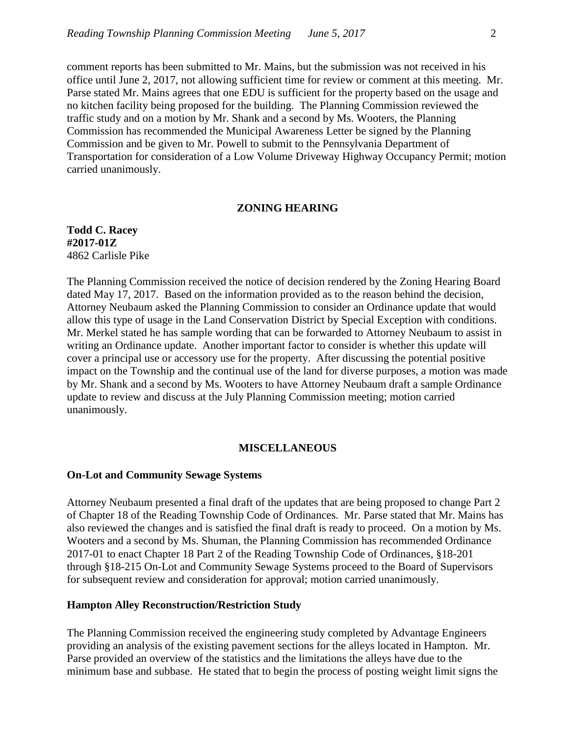comment reports has been submitted to Mr. Mains, but the submission was not received in his office until June 2, 2017, not allowing sufficient time for review or comment at this meeting. Mr. Parse stated Mr. Mains agrees that one EDU is sufficient for the property based on the usage and no kitchen facility being proposed for the building. The Planning Commission reviewed the traffic study and on a motion by Mr. Shank and a second by Ms. Wooters, the Planning Commission has recommended the Municipal Awareness Letter be signed by the Planning Commission and be given to Mr. Powell to submit to the Pennsylvania Department of Transportation for consideration of a Low Volume Driveway Highway Occupancy Permit; motion carried unanimously.

#### **ZONING HEARING**

**Todd C. Racey #2017-01Z** 4862 Carlisle Pike

The Planning Commission received the notice of decision rendered by the Zoning Hearing Board dated May 17, 2017. Based on the information provided as to the reason behind the decision, Attorney Neubaum asked the Planning Commission to consider an Ordinance update that would allow this type of usage in the Land Conservation District by Special Exception with conditions. Mr. Merkel stated he has sample wording that can be forwarded to Attorney Neubaum to assist in writing an Ordinance update. Another important factor to consider is whether this update will cover a principal use or accessory use for the property. After discussing the potential positive impact on the Township and the continual use of the land for diverse purposes, a motion was made by Mr. Shank and a second by Ms. Wooters to have Attorney Neubaum draft a sample Ordinance update to review and discuss at the July Planning Commission meeting; motion carried unanimously.

#### **MISCELLANEOUS**

### **On-Lot and Community Sewage Systems**

Attorney Neubaum presented a final draft of the updates that are being proposed to change Part 2 of Chapter 18 of the Reading Township Code of Ordinances. Mr. Parse stated that Mr. Mains has also reviewed the changes and is satisfied the final draft is ready to proceed. On a motion by Ms. Wooters and a second by Ms. Shuman, the Planning Commission has recommended Ordinance 2017-01 to enact Chapter 18 Part 2 of the Reading Township Code of Ordinances, §18-201 through §18-215 On-Lot and Community Sewage Systems proceed to the Board of Supervisors for subsequent review and consideration for approval; motion carried unanimously.

# **Hampton Alley Reconstruction/Restriction Study**

The Planning Commission received the engineering study completed by Advantage Engineers providing an analysis of the existing pavement sections for the alleys located in Hampton. Mr. Parse provided an overview of the statistics and the limitations the alleys have due to the minimum base and subbase. He stated that to begin the process of posting weight limit signs the